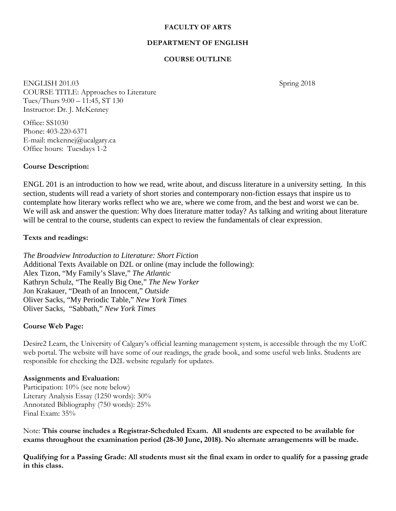#### **FACULTY OF ARTS**

### **DEPARTMENT OF ENGLISH**

## **COURSE OUTLINE**

ENGLISH 201.03 Spring 2018 COURSE TITLE: Approaches to Literature Tues/Thurs 9:00 – 11:45, ST 130 Instructor: Dr. J. McKenney

Office: SS1030 Phone: 403-220-6371 E-mail: mckennej@ucalgary.ca Office hours: Tuesdays 1-2

#### **Course Description:**

ENGL 201 is an introduction to how we read, write about, and discuss literature in a university setting. In this section, students will read a variety of short stories and contemporary non-fiction essays that inspire us to contemplate how literary works reflect who we are, where we come from, and the best and worst we can be. We will ask and answer the question: Why does literature matter today? As talking and writing about literature will be central to the course, students can expect to review the fundamentals of clear expression.

#### **Texts and readings:**

*The Broadview Introduction to Literature: Short Fiction*  Additional Texts Available on D2L or online (may include the following): Alex Tizon, "My Family's Slave," *The Atlantic*  Kathryn Schulz, "The Really Big One," *The New Yorker* Jon Krakauer, "Death of an Innocent," *Outside* Oliver Sacks, "My Periodic Table," *New York Times*  Oliver Sacks, "Sabbath," *New York Times* 

#### **Course Web Page:**

Desire2 Learn, the University of Calgary's official learning management system, is accessible through the my UofC web portal. The website will have some of our readings, the grade book, and some useful web links. Students are responsible for checking the D2L website regularly for updates.

#### **Assignments and Evaluation:**

Participation: 10% (see note below) Literary Analysis Essay (1250 words): 30% Annotated Bibliography (750 words): 25% Final Exam: 35%

Note: **This course includes a Registrar-Scheduled Exam. All students are expected to be available for exams throughout the examination period (28-30 June, 2018). No alternate arrangements will be made.** 

**Qualifying for a Passing Grade: All students must sit the final exam in order to qualify for a passing grade in this class.**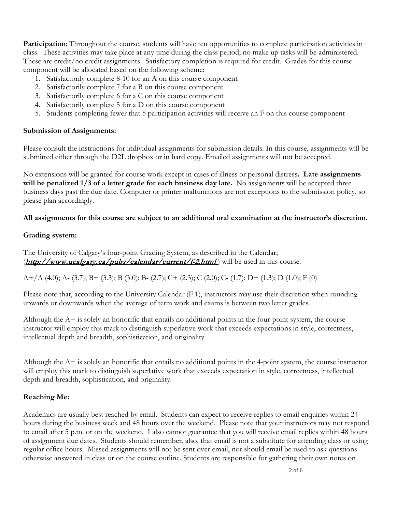**Participation**: Throughout the course, students will have ten opportunities to complete participation activities in class. These activities may take place at any time during the class period; no make up tasks will be administered. These are credit/no credit assignments. Satisfactory completion is required for credit. Grades for this course component will be allocated based on the following scheme:

- 1. Satisfactorily complete 8-10 for an A on this course component
- 2. Satisfactorily complete 7 for a B on this course component
- 3. Satisfactorily complete 6 for a C on this course component
- 4. Satisfactorily complete 5 for a D on this course component
- 5. Students completing fewer that 5 participation activities will receive an F on this course component

#### **Submission of Assignments:**

Please consult the instructions for individual assignments for submission details. In this course, assignments will be submitted either through the D2L dropbox or in hard copy. Emailed assignments will not be accepted.

No extensions will be granted for course work except in cases of illness or personal distress**. Late assignments will be penalized 1/3 of a letter grade for each business day late.** No assignments will be accepted three business days past the due date. Computer or printer malfunctions are not exceptions to the submission policy, so please plan accordingly.

### **All assignments for this course are subject to an additional oral examination at the instructor's discretion.**

### **Grading system:**

The University of Calgary's four-point Grading System, as described in the Calendar;  $(\frac{http://www.ucalgary.ca/pubs/calendar/current/f-2.html}{http://www.ucalgary.ca/pubs/calendar/current/f-2.html})$  $(\frac{http://www.ucalgary.ca/pubs/calendar/current/f-2.html}{http://www.ucalgary.ca/pubs/calendar/current/f-2.html})$  $(\frac{http://www.ucalgary.ca/pubs/calendar/current/f-2.html}{http://www.ucalgary.ca/pubs/calendar/current/f-2.html})$  will be used in this course.

A+/A (4.0); A- (3.7); B+ (3.3); B (3.0); B- (2.7); C+ (2.3); C (2.0); C- (1.7); D+ (1.3); D (1.0); F (0)

Please note that, according to the University Calendar (F.1), instructors may use their discretion when rounding upwards or downwards when the average of term work and exams is between two letter grades.

Although the A+ is solely an honorific that entails no additional points in the four-point system, the course instructor will employ this mark to distinguish superlative work that exceeds expectations in style, correctness, intellectual depth and breadth, sophistication, and originality.

Although the A+ is solely an honorific that entails no additional points in the 4-point system, the course instructor will employ this mark to distinguish superlative work that exceeds expectation in style, correctness, intellectual depth and breadth, sophistication, and originality.

## **Reaching Me:**

Academics are usually best reached by email. Students can expect to receive replies to email enquiries within 24 hours during the business week and 48 hours over the weekend. Please note that your instructors may not respond to email after 5 p.m. or on the weekend. I also cannot guarantee that you will receive email replies within 48 hours of assignment due dates. Students should remember, also, that email is not a substitute for attending class or using regular office hours. Missed assignments will not be sent over email, nor should email be used to ask questions otherwise answered in class or on the course outline. Students are responsible for gathering their own notes on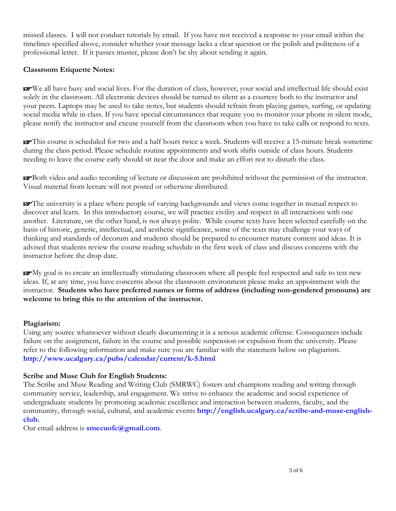missed classes. I will not conduct tutorials by email. If you have not received a response to your email within the timelines specified above, consider whether your message lacks a clear question or the polish and politeness of a professional letter. If it passes muster, please don't be shy about sending it again.

## **Classroom Etiquette Notes:**

☞We all have busy and social lives. For the duration of class, however, your social and intellectual life should exist solely in the classroom. All electronic devices should be turned to silent as a courtesy both to the instructor and your peers. Laptops may be used to take notes, but students should refrain from playing games, surfing, or updating social media while in class. If you have special circumstances that require you to monitor your phone in silent mode, please notify the instructor and excuse yourself from the classroom when you have to take calls or respond to texts.

☞This course is scheduled for two and a half hours twice a week. Students will receive a 15-minute break sometime during the class period. Please schedule routine appointments and work shifts outside of class hours. Students needing to leave the course early should sit near the door and make an effort not to disturb the class.

☞Both video and audio recording of lecture or discussion are prohibited without the permission of the instructor. Visual material from lecture will not posted or otherwise distributed.

☞The university is a place where people of varying backgrounds and views come together in mutual respect to discover and learn. In this introductory course, we will practice civility and respect in all interactions with one another. Literature, on the other hand, is not always polite. While course texts have been selected carefully on the basis of historic, generic, intellectual, and aesthetic significance, some of the texts may challenge your ways of thinking and standards of decorum and students should be prepared to encounter mature content and ideas. It is advised that students review the course reading schedule in the first week of class and discuss concerns with the instructor before the drop date.

☞My goal is to create an intellectually stimulating classroom where all people feel respected and safe to test new ideas. If, at any time, you have concerns about the classroom environment please make an appointment with the instructor. **Students who have preferred names or forms of address (including non-gendered pronouns) are welcome to bring this to the attention of the instructor.**

### **Plagiarism:**

Using any source whatsoever without clearly documenting it is a serious academic offense. Consequences include failure on the assignment, failure in the course and possible suspension or expulsion from the university. Please refer to the following information and make sure you are familiar with the statement below on plagiarism. **<http://www.ucalgary.ca/pubs/calendar/current/k-5.html>**

### **Scribe and Muse Club for English Students:**

The Scribe and Muse Reading and Writing Club (SMRWC) fosters and champions reading and writing through community service, leadership, and engagement. We strive to enhance the academic and social experience of undergraduate students by promoting academic excellence and interaction between students, faculty, and the community, through social, cultural, and academic events **[http://english.ucalgary.ca/scribe-and-muse-english](http://english.ucalgary.ca/scribe-and-muse-english-club)[club.](http://english.ucalgary.ca/scribe-and-muse-english-club)**

Our email address is **[smecuofc@gmail.com](mailto:smecuofc@gmail.com)**.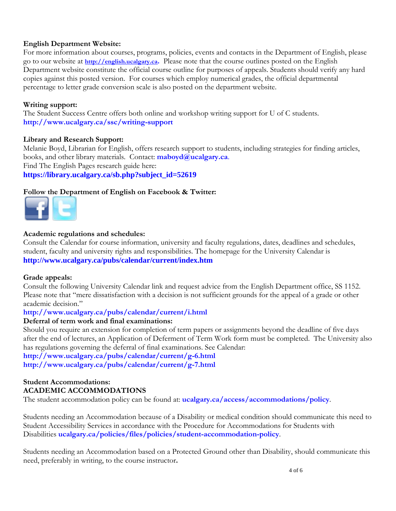## **English Department Website:**

For more information about courses, programs, policies, events and contacts in the Department of English, please go to our website at **[http://english.ucalgary.ca.](http://english.ucalgary.ca/)** Please note that the course outlines posted on the English Department website constitute the official course outline for purposes of appeals. Students should verify any hard copies against this posted version. For courses which employ numerical grades, the official departmental percentage to letter grade conversion scale is also posted on the department website.

## **Writing support:**

The Student Success Centre offers both online and workshop writing support for U of C students. **<http://www.ucalgary.ca/ssc/writing-support>**

### **Library and Research Support:**

Melanie Boyd, Librarian for English, offers research support to students, including strategies for finding articles, books, and other library materials. Contact: **[maboyd@ucalgary.ca](mailto:maboyd@ucalgary.ca)**. Find The English Pages research guide here: **[https://library.ucalgary.ca/sb.php?subject\\_id=52619](https://library.ucalgary.ca/sb.php?subject_id=52619)**

## **[Follow t](http://www.facebook.com/UofCEnglish)[he Depa](https://twitter.com/#!/uofcenglish)rtment of English on Facebook & Twitter:**



## **Academic regulations and schedules:**

Consult the Calendar for course information, university and faculty regulations, dates, deadlines and schedules, student, faculty and university rights and responsibilities. The homepage for the University Calendar is **<http://www.ucalgary.ca/pubs/calendar/current/index.htm>**

### **Grade appeals:**

Consult the following University Calendar link and request advice from the English Department office, SS 1152. Please note that "mere dissatisfaction with a decision is not sufficient grounds for the appeal of a grade or other academic decision"

### **<http://www.ucalgary.ca/pubs/calendar/current/i.html>**

### **Deferral of term work and final examinations:**

Should you require an extension for completion of term papers or assignments beyond the deadline of five days after the end of lectures, an Application of Deferment of Term Work form must be completed. The University also has regulations governing the deferral of final examinations. See Calendar:

**<http://www.ucalgary.ca/pubs/calendar/current/g-6.html> <http://www.ucalgary.ca/pubs/calendar/current/g-7.html>**

# **Student Accommodations: ACADEMIC ACCOMMODATIONS**

The student accommodation policy can be found at: **[ucalgary.ca/access/accommodations/policy](http://www.ucalgary.ca/access/accommodations/policy)**.

Students needing an Accommodation because of a Disability or medical condition should communicate this need to Student Accessibility Services in accordance with the Procedure for Accommodations for Students with Disabilities **[ucalgary.ca/policies/files/policies/student-accommodation-policy](http://www.ucalgary.ca/policies/files/policies/student-accommodation-policy.pdf)**.

Students needing an Accommodation based on a Protected Ground other than Disability, should communicate this need, preferably in writing, to the course instructor**.**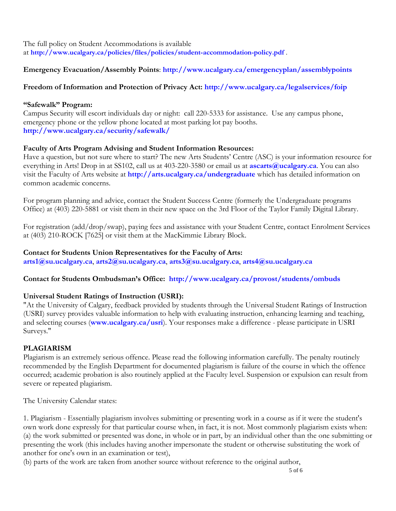The full policy on Student Accommodations is available at **<http://www.ucalgary.ca/policies/files/policies/student-accommodation-policy.pdf>** .

# **Emergency Evacuation/Assembly Points**: **<http://www.ucalgary.ca/emergencyplan/assemblypoints>**

## **Freedom of Information and Protection of Privacy Act:<http://www.ucalgary.ca/legalservices/foip>**

## **"Safewalk" Program:**

Campus Security will escort individuals day or night: call 220-5333 for assistance. Use any campus phone, emergency phone or the yellow phone located at most parking lot pay booths. **<http://www.ucalgary.ca/security/safewalk/>**

## **Faculty of Arts Program Advising and Student Information Resources:**

Have a question, but not sure where to start? The new Arts Students' Centre (ASC) is your information resource for everything in Arts! Drop in at SS102, call us at 403-220-3580 or email us at **[ascarts@ucalgary.ca](mailto:ascarts@ucalgary.ca)**. You can also visit the Faculty of Arts website at **<http://arts.ucalgary.ca/undergraduate>** which has detailed information on common academic concerns.

For program planning and advice, contact the Student Success Centre (formerly the Undergraduate programs Office) at (403) 220-5881 or visit them in their new space on the 3rd Floor of the Taylor Family Digital Library.

For registration (add/drop/swap), paying fees and assistance with your Student Centre, contact Enrolment Services at (403) 210-ROCK [7625] or visit them at the MacKimmie Library Block.

### **Contact for Students Union Representatives for the Faculty of Arts:**

**[arts1@su.ucalgary.ca](mailto:arts1@su.ucalgary.ca)**, **[arts2@su.ucalgary.ca](mailto:arts2@su.ucalgary.ca)**, **[arts3@su.ucalgary.ca](mailto:arts3@su.ucalgary.ca)**, **[arts4@su.ucalgary.ca](mailto:arts4@su.ucalgary.ca)**

## **Contact for Students Ombudsman's Office: <http://www.ucalgary.ca/provost/students/ombuds>**

## **Universal Student Ratings of Instruction (USRI):**

"At the University of Calgary, feedback provided by students through the Universal Student Ratings of Instruction (USRI) survey provides valuable information to help with evaluating instruction, enhancing learning and teaching, and selecting courses (**[www.ucalgary.ca/usri](http://www.ucalgary.ca/usri)**). Your responses make a difference - please participate in USRI Surveys."

## **PLAGIARISM**

Plagiarism is an extremely serious offence. Please read the following information carefully. The penalty routinely recommended by the English Department for documented plagiarism is failure of the course in which the offence occurred; academic probation is also routinely applied at the Faculty level. Suspension or expulsion can result from severe or repeated plagiarism.

The University Calendar states:

1. Plagiarism - Essentially plagiarism involves submitting or presenting work in a course as if it were the student's own work done expressly for that particular course when, in fact, it is not. Most commonly plagiarism exists when: (a) the work submitted or presented was done, in whole or in part, by an individual other than the one submitting or presenting the work (this includes having another impersonate the student or otherwise substituting the work of another for one's own in an examination or test),

(b) parts of the work are taken from another source without reference to the original author,